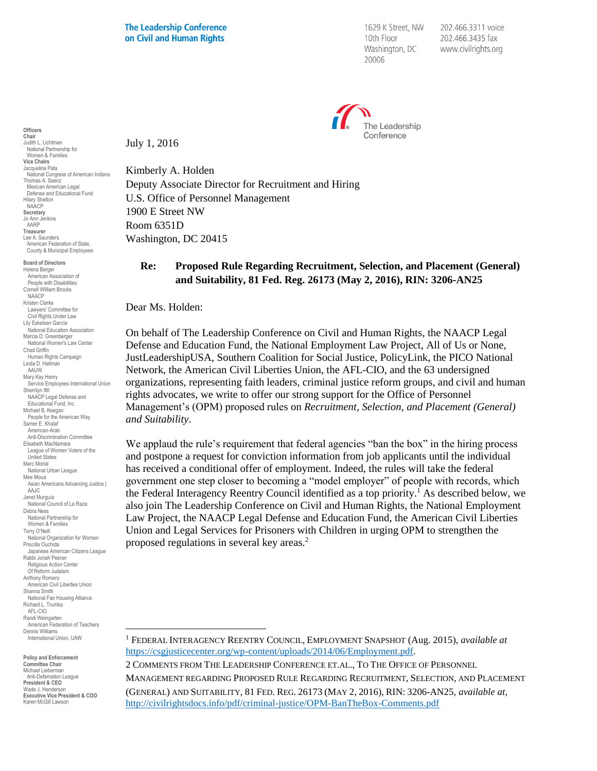1629 K Street, NW 10th Floor Washington, DC 20006

202.466.3311 voice 202.466.3435 fax www.civilrights.org



**Chair** Judith L. Lichtman National Partnership for Women & Families **Vice Chairs** Jacqueline Pata National Congress of American Indians Thomas A. Saenz Mexican American Legal Defense and Educational Fund Hilary Shelton NAACP **Secretary** Jo Ann Jenkins AARP **Treasurer** Lee A. Saunders American Federation of State, County & Municipal Employees **Board of Directors** Helena Berger American Association of People with Disabilities

**Officers**

Cornell William Brooks NAACP Kristen Clarke Lawyers' Committee for Civil Rights Under Law Lily Eskelsen García National Education Association Marcia D. Greenberger National Women's Law Center Chad Griffin Human Rights Campaign Linda D. Hallman AAUW Mary Kay Henry Service Employees International Union Sherrilyn Ifill NAACP Legal Defense and Educational Fund, Inc. Michael B. Keegan People for the American Way Samer E. Khalaf American-Arab Anti-Discrimination Committee Elisabeth MacNamara League of Women Voters of the United States Marc Morial National Urban League Mee Moua Asian Americans Advancing Justice | AAJC Janet Murguía National Council of La Raza Debra Ness National Partnership for Women & Families Terry O'Neill National Organization for Women Priscilla Ouchida Japanese American Citizens League Rabbi Jonah Pesner Religious Action Center Of Reform Judaism Anthony Romero American Civil Liberties Union Shanna Smith National Fair Housing Alliance Richard L. Trumka AFL-CIO Randi Weingarten American Federation of Teachers Dennis Williams International Union, UAW

**Policy and Enforcement Committee Chair** Michael Lieberman Anti-Defamation League **President & CEO** Wade J. Henderson **Executive Vice President & COO** Karen McGill Lawson  $\overline{a}$ 

July 1, 2016

Kimberly A. Holden Deputy Associate Director for Recruitment and Hiring U.S. Office of Personnel Management 1900 E Street NW Room 6351D Washington, DC 20415

## **Re: Proposed Rule Regarding Recruitment, Selection, and Placement (General) and Suitability, 81 Fed. Reg. 26173 (May 2, 2016), RIN: 3206-AN25**

Dear Ms. Holden:

On behalf of The Leadership Conference on Civil and Human Rights, the NAACP Legal Defense and Education Fund, the National Employment Law Project, All of Us or None, JustLeadershipUSA, Southern Coalition for Social Justice, PolicyLink, the PICO National Network, the American Civil Liberties Union, the AFL-CIO, and the 63 undersigned organizations, representing faith leaders, criminal justice reform groups, and civil and human rights advocates, we write to offer our strong support for the Office of Personnel Management's (OPM) proposed rules on *Recruitment, Selection, and Placement (General) and Suitability*.

We applaud the rule's requirement that federal agencies "ban the box" in the hiring process and postpone a request for conviction information from job applicants until the individual has received a conditional offer of employment. Indeed, the rules will take the federal government one step closer to becoming a "model employer" of people with records, which the Federal Interagency Reentry Council identified as a top priority.<sup>1</sup> As described below, we also join The Leadership Conference on Civil and Human Rights, the National Employment Law Project, the NAACP Legal Defense and Education Fund, the American Civil Liberties Union and Legal Services for Prisoners with Children in urging OPM to strengthen the proposed regulations in several key areas.<sup>2</sup>

2 COMMENTS FROM THE LEADERSHIP CONFERENCE ET.AL., TO THE OFFICE OF PERSONNEL MANAGEMENT REGARDING PROPOSED RULE REGARDING RECRUITMENT, SELECTION, AND PLACEMENT (GENERAL) AND SUITABILITY, 81 FED. REG. 26173 (MAY 2, 2016), RIN: 3206-AN25, *available at*, <http://civilrightsdocs.info/pdf/criminal-justice/OPM-BanTheBox-Comments.pdf>

<sup>1</sup> FEDERAL INTERAGENCY REENTRY COUNCIL, EMPLOYMENT SNAPSHOT (Aug. 2015), *available at* [https://csgjusticecenter.org/wp-content/uploads/2014/06/Employment.pdf.](https://csgjusticecenter.org/wp-content/uploads/2014/06/Employment.pdf)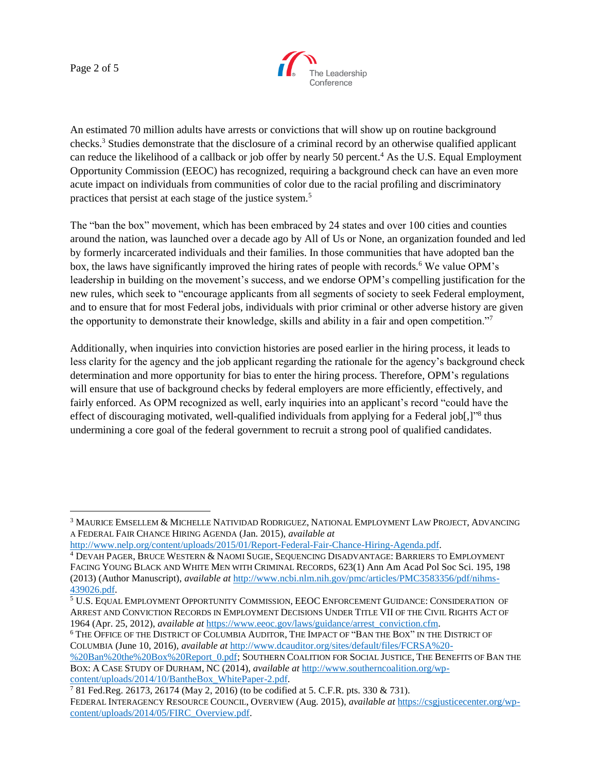Page 2 of 5

 $\overline{a}$ 



An estimated 70 million adults have arrests or convictions that will show up on routine background checks.<sup>3</sup> Studies demonstrate that the disclosure of a criminal record by an otherwise qualified applicant can reduce the likelihood of a callback or job offer by nearly 50 percent.<sup>4</sup> As the U.S. Equal Employment Opportunity Commission (EEOC) has recognized, requiring a background check can have an even more acute impact on individuals from communities of color due to the racial profiling and discriminatory practices that persist at each stage of the justice system.<sup>5</sup>

The "ban the box" movement, which has been embraced by 24 states and over 100 cities and counties around the nation, was launched over a decade ago by All of Us or None, an organization founded and led by formerly incarcerated individuals and their families. In those communities that have adopted ban the box, the laws have significantly improved the hiring rates of people with records.<sup>6</sup> We value OPM's leadership in building on the movement's success, and we endorse OPM's compelling justification for the new rules, which seek to "encourage applicants from all segments of society to seek Federal employment, and to ensure that for most Federal jobs, individuals with prior criminal or other adverse history are given the opportunity to demonstrate their knowledge, skills and ability in a fair and open competition."<sup>7</sup>

Additionally, when inquiries into conviction histories are posed earlier in the hiring process, it leads to less clarity for the agency and the job applicant regarding the rationale for the agency's background check determination and more opportunity for bias to enter the hiring process. Therefore, OPM's regulations will ensure that use of background checks by federal employers are more efficiently, effectively, and fairly enforced. As OPM recognized as well, early inquiries into an applicant's record "could have the effect of discouraging motivated, well-qualified individuals from applying for a Federal job[,]"<sup>8</sup> thus undermining a core goal of the federal government to recruit a strong pool of qualified candidates.

<sup>3</sup> MAURICE EMSELLEM & MICHELLE NATIVIDAD RODRIGUEZ, NATIONAL EMPLOYMENT LAW PROJECT, ADVANCING A FEDERAL FAIR CHANCE HIRING AGENDA (Jan. 2015), *available at*

[http://www.nelp.org/content/uploads/2015/01/Report-Federal-Fair-Chance-Hiring-Agenda.pdf.](http://www.nelp.org/content/uploads/2015/01/Report-Federal-Fair-Chance-Hiring-Agenda.pdf)

<sup>4</sup> DEVAH PAGER, BRUCE WESTERN & NAOMI SUGIE, SEQUENCING DISADVANTAGE: BARRIERS TO EMPLOYMENT FACING YOUNG BLACK AND WHITE MEN WITH CRIMINAL RECORDS, 623(1) Ann Am Acad Pol Soc Sci. 195, 198 (2013) (Author Manuscript), *available at* [http://www.ncbi.nlm.nih.gov/pmc/articles/PMC3583356/pdf/nihms-](http://www.ncbi.nlm.nih.gov/pmc/articles/PMC3583356/pdf/nihms-439026.pdf)[439026.pdf.](http://www.ncbi.nlm.nih.gov/pmc/articles/PMC3583356/pdf/nihms-439026.pdf)

<sup>5</sup> U.S. EQUAL EMPLOYMENT OPPORTUNITY COMMISSION, EEOC ENFORCEMENT GUIDANCE: CONSIDERATION OF ARREST AND CONVICTION RECORDS IN EMPLOYMENT DECISIONS UNDER TITLE VII OF THE CIVIL RIGHTS ACT OF 1964 (Apr. 25, 2012), *available at* [https://www.eeoc.gov/laws/guidance/arrest\\_conviction.cfm.](https://www.eeoc.gov/laws/guidance/arrest_conviction.cfm)

<sup>6</sup> THE OFFICE OF THE DISTRICT OF COLUMBIA AUDITOR, THE IMPACT OF "BAN THE BOX" IN THE DISTRICT OF COLUMBIA (June 10, 2016), *available at* [http://www.dcauditor.org/sites/default/files/FCRSA%20-](http://www.dcauditor.org/sites/default/files/FCRSA%20-%20Ban%20the%20Box%20Report_0.pdf)

[<sup>%20</sup>Ban%20the%20Box%20Report\\_0.pdf;](http://www.dcauditor.org/sites/default/files/FCRSA%20-%20Ban%20the%20Box%20Report_0.pdf) SOUTHERN COALITION FOR SOCIAL JUSTICE, THE BENEFITS OF BAN THE BOX: A CASE STUDY OF DURHAM, NC (2014), *available at* [http://www.southerncoalition.org/wp](http://www.southerncoalition.org/wp-content/uploads/2014/10/BantheBox_WhitePaper-2.pdf)[content/uploads/2014/10/BantheBox\\_WhitePaper-2.pdf.](http://www.southerncoalition.org/wp-content/uploads/2014/10/BantheBox_WhitePaper-2.pdf)

<sup>7</sup> 81 Fed.Reg. 26173, 26174 (May 2, 2016) (to be codified at 5. C.F.R. pts. 330 & 731). FEDERAL INTERAGENCY RESOURCE COUNCIL, OVERVIEW (Aug. 2015), *available at* [https://csgjusticecenter.org/wp](https://csgjusticecenter.org/wp-content/uploads/2014/05/FIRC_Overview.pdf)[content/uploads/2014/05/FIRC\\_Overview.pdf.](https://csgjusticecenter.org/wp-content/uploads/2014/05/FIRC_Overview.pdf)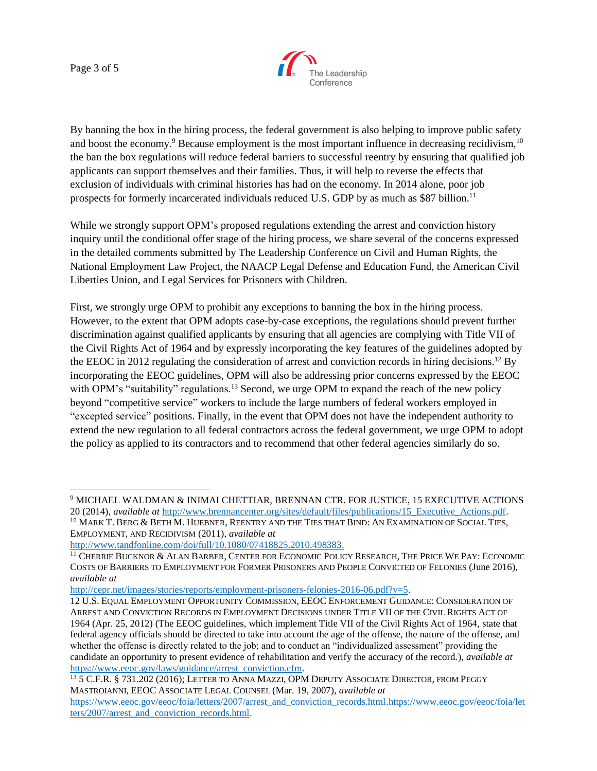Page 3 of 5



By banning the box in the hiring process, the federal government is also helping to improve public safety and boost the economy.<sup>9</sup> Because employment is the most important influence in decreasing recidivism,<sup>10</sup> the ban the box regulations will reduce federal barriers to successful reentry by ensuring that qualified job applicants can support themselves and their families. Thus, it will help to reverse the effects that exclusion of individuals with criminal histories has had on the economy. In 2014 alone, poor job prospects for formerly incarcerated individuals reduced U.S. GDP by as much as \$87 billion.<sup>11</sup>

While we strongly support OPM's proposed regulations extending the arrest and conviction history inquiry until the conditional offer stage of the hiring process, we share several of the concerns expressed in the detailed comments submitted by The Leadership Conference on Civil and Human Rights, the National Employment Law Project, the NAACP Legal Defense and Education Fund, the American Civil Liberties Union, and Legal Services for Prisoners with Children.

First, we strongly urge OPM to prohibit any exceptions to banning the box in the hiring process. However, to the extent that OPM adopts case-by-case exceptions, the regulations should prevent further discrimination against qualified applicants by ensuring that all agencies are complying with Title VII of the Civil Rights Act of 1964 and by expressly incorporating the key features of the guidelines adopted by the EEOC in 2012 regulating the consideration of arrest and conviction records in hiring decisions.<sup>12</sup> By incorporating the EEOC guidelines, OPM will also be addressing prior concerns expressed by the EEOC with OPM's "suitability" regulations.<sup>13</sup> Second, we urge OPM to expand the reach of the new policy beyond "competitive service" workers to include the large numbers of federal workers employed in "excepted service" positions. Finally, in the event that OPM does not have the independent authority to extend the new regulation to all federal contractors across the federal government, we urge OPM to adopt the policy as applied to its contractors and to recommend that other federal agencies similarly do so.

[http://cepr.net/images/stories/reports/employment-prisoners-felonies-2016-06.pdf?v=5.](http://cepr.net/images/stories/reports/employment-prisoners-felonies-2016-06.pdf?v=5)

 $\overline{a}$ <sup>9</sup> MICHAEL WALDMAN & INIMAI CHETTIAR, BRENNAN CTR. FOR JUSTICE, 15 EXECUTIVE ACTIONS 20 (2014), *available at* [http://www.brennancenter.org/sites/default/files/publications/15\\_Executive\\_Actions.pdf.](http://www.brennancenter.org/sites/default/files/publications/15_Executive_Actions.pdf)

<sup>&</sup>lt;sup>10</sup> MARK T. BERG & BETH M. HUEBNER, REENTRY AND THE TIES THAT BIND: AN EXAMINATION OF SOCIAL TIES, EMPLOYMENT, AND RECIDIVISM (2011), *available at*

[http://www.tandfonline.com/doi/full/10.1080/07418825.2010.498383.](http://www.tandfonline.com/doi/full/10.1080/07418825.2010.498383)

<sup>11</sup> CHERRIE BUCKNOR & ALAN BARBER, CENTER FOR ECONOMIC POLICY RESEARCH, THE PRICE WE PAY: ECONOMIC COSTS OF BARRIERS TO EMPLOYMENT FOR FORMER PRISONERS AND PEOPLE CONVICTED OF FELONIES (June 2016), *available at*

<sup>12</sup> U.S. EQUAL EMPLOYMENT OPPORTUNITY COMMISSION, EEOC ENFORCEMENT GUIDANCE: CONSIDERATION OF ARREST AND CONVICTION RECORDS IN EMPLOYMENT DECISIONS UNDER TITLE VII OF THE CIVIL RIGHTS ACT OF 1964 (Apr. 25, 2012) (The EEOC guidelines, which implement Title VII of the Civil Rights Act of 1964, state that federal agency officials should be directed to take into account the age of the offense, the nature of the offense, and whether the offense is directly related to the job; and to conduct an "individualized assessment" providing the candidate an opportunity to present evidence of rehabilitation and verify the accuracy of the record.), *available at* [https://www.eeoc.gov/laws/guidance/arrest\\_conviction.cfm.](https://www.eeoc.gov/laws/guidance/arrest_conviction.cfm)

<sup>13</sup> 5 C.F.R. § 731.202 (2016); LETTER TO ANNA MAZZI, OPM DEPUTY ASSOCIATE DIRECTOR, FROM PEGGY MASTROIANNI, EEOC ASSOCIATE LEGAL COUNSEL (Mar. 19, 2007), *available at*

[https://www.eeoc.gov/eeoc/foia/letters/2007/arrest\\_and\\_conviction\\_records.html.https://www.eeoc.gov/eeoc/foia/let](https://www.eeoc.gov/eeoc/foia/letters/2007/arrest_and_conviction_records.html) [ters/2007/arrest\\_and\\_conviction\\_records.html.](https://www.eeoc.gov/eeoc/foia/letters/2007/arrest_and_conviction_records.html)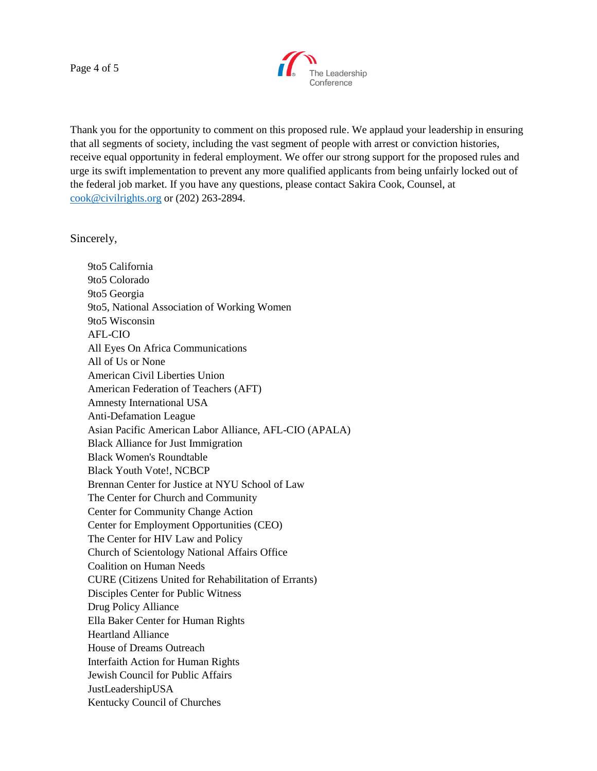Page 4 of 5



Thank you for the opportunity to comment on this proposed rule. We applaud your leadership in ensuring that all segments of society, including the vast segment of people with arrest or conviction histories, receive equal opportunity in federal employment. We offer our strong support for the proposed rules and urge its swift implementation to prevent any more qualified applicants from being unfairly locked out of the federal job market. If you have any questions, please contact Sakira Cook, Counsel, at [cook@civilrights.org](mailto:cook@civilrights.org) or (202) 263-2894.

Sincerely,

9to5 California 9to5 Colorado 9to5 Georgia 9to5, National Association of Working Women 9to5 Wisconsin AFL-CIO All Eyes On Africa Communications All of Us or None American Civil Liberties Union American Federation of Teachers (AFT) Amnesty International USA Anti-Defamation League Asian Pacific American Labor Alliance, AFL-CIO (APALA) Black Alliance for Just Immigration Black Women's Roundtable Black Youth Vote!, NCBCP Brennan Center for Justice at NYU School of Law The Center for Church and Community Center for Community Change Action Center for Employment Opportunities (CEO) The Center for HIV Law and Policy Church of Scientology National Affairs Office Coalition on Human Needs CURE (Citizens United for Rehabilitation of Errants) Disciples Center for Public Witness Drug Policy Alliance Ella Baker Center for Human Rights Heartland Alliance House of Dreams Outreach Interfaith Action for Human Rights Jewish Council for Public Affairs JustLeadershipUSA Kentucky Council of Churches